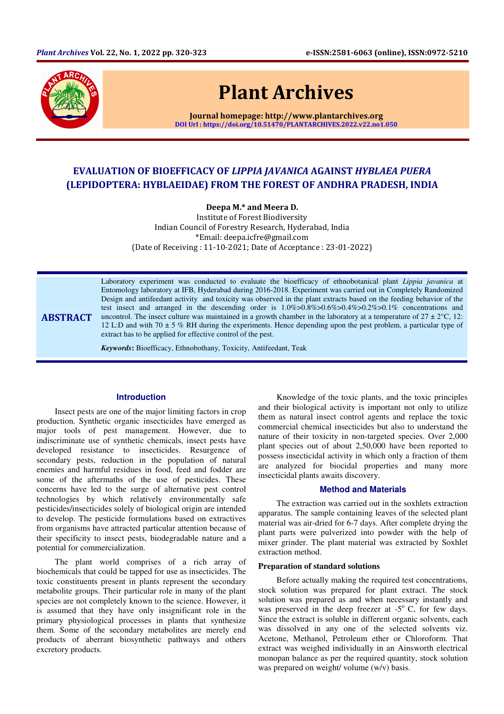

# Plant Archives

Journal homepage: http://www.plantarchives.org DOI Url : https://doi.org/10.51470/PLANTARCHIVES.2022.v22.no1.050

## EVALUATION OF BIOEFFICACY OF LIPPIA JAVANICA AGAINST HYBLAEA PUERA (LEPIDOPTERA: HYBLAEIDAE) FROM THE FOREST OF ANDHRA PRADESH, INDIA

Deepa M.\* and Meera D.

Institute of Forest Biodiversity Indian Council of Forestry Research, Hyderabad, India \*Email: deepa.icfre@gmail.com (Date of Receiving : 11-10-2021; Date of Acceptance : 23-01-2022)

ABSTRACT

Laboratory experiment was conducted to evaluate the bioefficacy of ethnobotanical plant *Lippia javanica* at Entomology laboratory at IFB, Hyderabad during 2016-2018. Experiment was carried out in Completely Randomized Design and antifeedant activity and toxicity was observed in the plant extracts based on the feeding behavior of the test insect and arranged in the descending order is 1.0%>0.8%>0.6%>0.4%>0.2%>0.1% concentrations and uncontrol. The insect culture was maintained in a growth chamber in the laboratory at a temperature of  $27 \pm 2^{\circ}$ C, 12: 12 L:D and with 70  $\pm$  5 % RH during the experiments. Hence depending upon the pest problem, a particular type of extract has to be applied for effective control of the pest.

*Keywords***:** Bioefficacy, Ethnobothany, Toxicity, Antifeedant, Teak

#### **Introduction**

Insect pests are one of the major limiting factors in crop production. Synthetic organic insecticides have emerged as major tools of pest management. However, due to indiscriminate use of synthetic chemicals, insect pests have developed resistance to insecticides. Resurgence of secondary pests, reduction in the population of natural enemies and harmful residues in food, feed and fodder are some of the aftermaths of the use of pesticides. These concerns have led to the surge of alternative pest control technologies by which relatively environmentally safe pesticides/insecticides solely of biological origin are intended to develop. The pesticide formulations based on extractives from organisms have attracted particular attention because of their specificity to insect pests, biodegradable nature and a potential for commercialization.

The plant world comprises of a rich array of biochemicals that could be tapped for use as insecticides. The toxic constituents present in plants represent the secondary metabolite groups. Their particular role in many of the plant species are not completely known to the science. However, it is assumed that they have only insignificant role in the primary physiological processes in plants that synthesize them. Some of the secondary metabolites are merely end products of aberrant biosynthetic pathways and others excretory products.

Knowledge of the toxic plants, and the toxic principles and their biological activity is important not only to utilize them as natural insect control agents and replace the toxic commercial chemical insecticides but also to understand the nature of their toxicity in non-targeted species. Over 2,000 plant species out of about 2,50,000 have been reported to possess insecticidal activity in which only a fraction of them are analyzed for biocidal properties and many more insecticidal plants awaits discovery.

#### **Method and Materials**

The extraction was carried out in the soxhlets extraction apparatus. The sample containing leaves of the selected plant material was air-dried for 6-7 days. After complete drying the plant parts were pulverized into powder with the help of mixer grinder. The plant material was extracted by Soxhlet extraction method.

#### **Preparation of standard solutions**

Before actually making the required test concentrations, stock solution was prepared for plant extract. The stock solution was prepared as and when necessary instantly and was preserved in the deep freezer at  $-5^\circ$  C, for few days. Since the extract is soluble in different organic solvents, each was dissolved in any one of the selected solvents viz. Acetone, Methanol, Petroleum ether or Chloroform. That extract was weighed individually in an Ainsworth electrical monopan balance as per the required quantity, stock solution was prepared on weight/ volume (w/v) basis.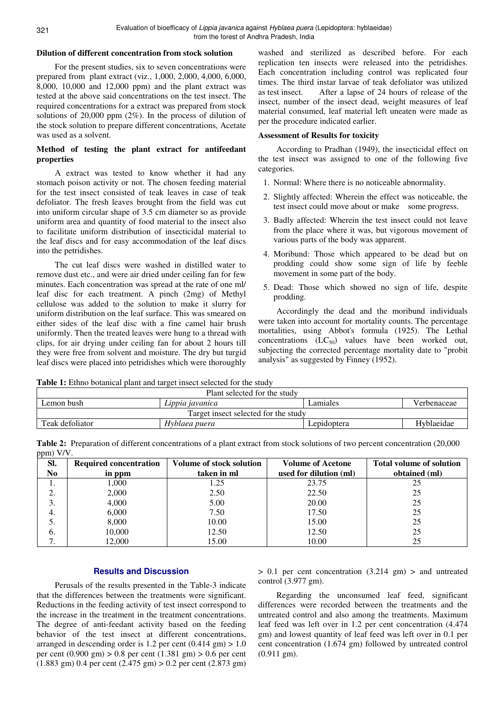#### **Dilution of different concentration from stock solution**

For the present studies, six to seven concentrations were prepared from plant extract (viz., 1,000, 2,000, 4,000, 6,000, 8,000, 10,000 and 12,000 ppm) and the plant extract was tested at the above said concentrations on the test insect. The required concentrations for a extract was prepared from stock solutions of 20,000 ppm (2%). In the process of dilution of the stock solution to prepare different concentrations, Acetate was used as a solvent.

#### **Method of testing the plant extract for antifeedant properties**

A extract was tested to know whether it had any stomach poison activity or not. The chosen feeding material for the test insect consisted of teak leaves in case of teak defoliator. The fresh leaves brought from the field was cut into uniform circular shape of 3.5 cm diameter so as provide uniform area and quantity of food material to the insect also to facilitate uniform distribution of insecticidal material to the leaf discs and for easy accommodation of the leaf discs into the petridishes.

The cut leaf discs were washed in distilled water to remove dust etc., and were air dried under ceiling fan for few minutes. Each concentration was spread at the rate of one ml/ leaf disc for each treatment. A pinch (2mg) of Methyl cellulose was added to the solution to make it slurry for uniform distribution on the leaf surface. This was smeared on either sides of the leaf disc with a fine camel hair brush uniformly. Then the treated leaves were hung to a thread with clips, for air drying under ceiling fan for about 2 hours till they were free from solvent and moisture. The dry but turgid leaf discs were placed into petridishes which were thoroughly

washed and sterilized as described before. For each replication ten insects were released into the petridishes. Each concentration including control was replicated four times. The third instar larvae of teak defoliator was utilized as test insect. After a lapse of 24 hours of release of the insect, number of the insect dead, weight measures of leaf material consumed, leaf material left uneaten were made as per the procedure indicated earlier.

#### **Assessment of Results for toxicity**

According to Pradhan (1949), the insecticidal effect on the test insect was assigned to one of the following five categories.

- 1. Normal: Where there is no noticeable abnormality.
- 2. Slightly affected: Wherein the effect was noticeable, the test insect could move about or make some progress.
- 3. Badly affected: Wherein the test insect could not leave from the place where it was, but vigorous movement of various parts of the body was apparent.
- 4. Moribund: Those which appeared to be dead but on prodding could show some sign of life by feeble movement in some part of the body.
- 5. Dead: Those which showed no sign of life, despite prodding.

Accordingly the dead and the moribund individuals were taken into account for mortality counts. The percentage mortalities, using Abbot's formula (1925). The Lethal concentrations  $(LC_{50})$  values have been worked out, subjecting the corrected percentage mortality date to "probit analysis" as suggested by Finney (1952).

**Table 1:** Ethno botanical plant and target insect selected for the study

| Plant selected for the study         |                 |             |             |  |  |
|--------------------------------------|-----------------|-------------|-------------|--|--|
| Lemon bush                           | Lippia javanica | Lamiales    | Verbenaceae |  |  |
| Target insect selected for the study |                 |             |             |  |  |
| Teak defoliator                      | Hyblaea puera   | Lepidoptera | Hyblaeidae  |  |  |

**Table 2:** Preparation of different concentrations of a plant extract from stock solutions of two percent concentration (20,000 ppm) V/V.

| SI.<br>N <sub>0</sub> | <b>Required concentration</b><br>in ppm | Volume of stock solution<br>taken in ml | <b>Volume of Acetone</b><br>used for dilution (ml) | <b>Total volume of solution</b><br>obtained (ml) |
|-----------------------|-----------------------------------------|-----------------------------------------|----------------------------------------------------|--------------------------------------------------|
| ı.                    | 1.000                                   | .25                                     | 23.75                                              | 25                                               |
| ◠<br>۷.               | 2,000                                   | 2.50                                    | 22.50                                              | 25                                               |
| 3.                    | 4,000                                   | 5.00                                    | 20.00                                              | 25                                               |
| 4.                    | 6,000                                   | 7.50                                    | 17.50                                              | 25                                               |
| J.                    | 8,000                                   | 10.00                                   | 15.00                                              | 25                                               |
| 6.                    | 10,000                                  | 12.50                                   | 12.50                                              | 25                                               |
|                       | 12.000                                  | 15.00                                   | 10.00                                              | 25                                               |

### **Results and Discussion**

Perusals of the results presented in the Table-3 indicate that the differences between the treatments were significant. Reductions in the feeding activity of test insect correspond to the increase in the treatment in the treatment concentrations. The degree of anti-feedant activity based on the feeding behavior of the test insect at different concentrations, arranged in descending order is 1.2 per cent  $(0.414 \text{ gm}) > 1.0$ per cent (0.900 gm) > 0.8 per cent (1.381 gm) > 0.6 per cent  $(1.883 \text{ gm})$  0.4 per cent  $(2.475 \text{ gm})$  > 0.2 per cent  $(2.873 \text{ gm})$  > 0.1 per cent concentration (3.214 gm) > and untreated control (3.977 gm).

Regarding the unconsumed leaf feed, significant differences were recorded between the treatments and the untreated control and also among the treatments. Maximum leaf feed was left over in 1.2 per cent concentration (4.474 gm) and lowest quantity of leaf feed was left over in 0.1 per cent concentration (1.674 gm) followed by untreated control (0.911 gm).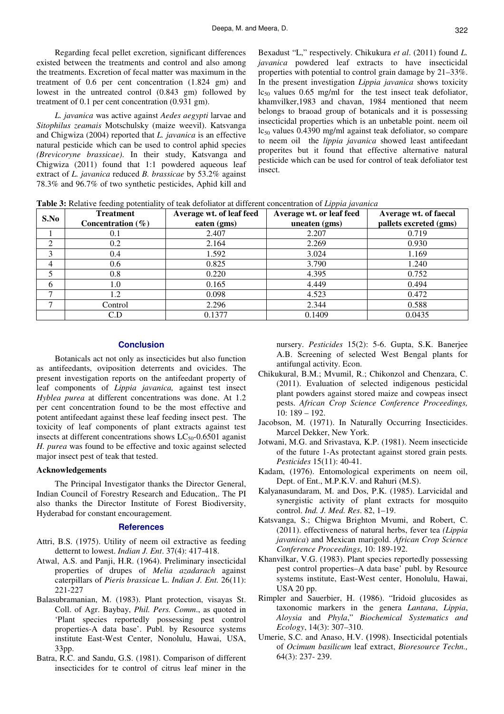Regarding fecal pellet excretion, significant differences existed between the treatments and control and also among the treatments. Excretion of fecal matter was maximum in the treatment of 0.6 per cent concentration (1.824 gm) and lowest in the untreated control (0.843 gm) followed by treatment of 0.1 per cent concentration (0.931 gm).

*L. javanica* was active against *Aedes aegypti* larvae and *Sitophilus zeamais* Motschulsky (maize weevil). Katsvanga and Chigwiza (2004) reported that *L. javanica* is an effective natural pesticide which can be used to control aphid species *(Brevicoryne brassicae)*. In their study, Katsvanga and Chigwiza (2011) found that 1:1 powdered aqueous leaf extract of *L. javanica* reduced *B. brassicae* by 53.2% against 78.3% and 96.7% of two synthetic pesticides, Aphid kill and

Bexadust "L," respectively. Chikukura *et al*. (2011) found *L. javanica* powdered leaf extracts to have insecticidal properties with potential to control grain damage by 21–33%. In the present investigation *Lippia javanica* shows toxicity  $lc_{50}$  values 0.65 mg/ml for the test insect teak defoliator, khamvilker,1983 and chavan, 1984 mentioned that neem belongs to braoad group of botanicals and it is possessing insecticidal properties which is an unbetable point. neem oil  $lc_{50}$  values 0.4390 mg/ml against teak defoliator, so compare to neem oil the *lippia javanica* showed least antifeedant properites but it found that effective alternative natural pesticide which can be used for control of teak defoliator test insect.

**Table 3:** Relative feeding potentiality of teak defoliator at different concentration of *Lippia javanica*

| S.No | <b>Treatment</b><br>Concentration $(\% )$ | Average wt. of leaf feed<br>eaten (gms) | Average wt. or leaf feed<br>uneaten (gms) | Average wt. of faecal<br>pallets excreted (gms) |
|------|-------------------------------------------|-----------------------------------------|-------------------------------------------|-------------------------------------------------|
|      | 0.1                                       | 2.407                                   | 2.207                                     | 0.719                                           |
| 2    | 0.2                                       | 2.164                                   | 2.269                                     | 0.930                                           |
| 3    | 0.4                                       | 1.592                                   | 3.024                                     | 1.169                                           |
| 4    | 0.6 <sub>1</sub>                          | 0.825                                   | 3.790                                     | 1.240                                           |
|      | 0.8                                       | 0.220                                   | 4.395                                     | 0.752                                           |
| 6    | 1.0                                       | 0.165                                   | 4.449                                     | 0.494                                           |
|      | 1.2                                       | 0.098                                   | 4.523                                     | 0.472                                           |
|      | Control                                   | 2.296                                   | 2.344                                     | 0.588                                           |
|      | C.D                                       | 0.1377                                  | 0.1409                                    | 0.0435                                          |

#### **Conclusion**

Botanicals act not only as insecticides but also function as antifeedants, oviposition deterrents and ovicides. The present investigation reports on the antifeedant property of leaf components of *Lippia javanica,* against test insect *Hyblea purea* at different concentrations was done. At 1.2 per cent concentration found to be the most effective and potent antifeedant against these leaf feeding insect pest. The toxicity of leaf components of plant extracts against test insects at different concentrations shows  $LC_{50}$ -0.6501 aganist *H. purea* was found to be effective and toxic against selected major insect pest of teak that tested.

#### **Acknowledgements**

The Principal Investigator thanks the Director General, Indian Council of Forestry Research and Education,. The PI also thanks the Director Institute of Forest Biodiversity, Hyderabad for constant encouragement.

#### **References**

- Attri, B.S. (1975). Utility of neem oil extractive as feeding detternt to lowest. *Indian J. Ent*. 37(4): 417-418.
- Atwal, A.S. and Panji, H.R. (1964). Preliminary insecticidal properties of drupes of *Melia azadarach* against caterpillars of *Pieris brassicae* L. *Indian J. Ent.* 26(11): 221-227
- Balasubramanian, M. (1983). Plant protection, visayas St. Coll. of Agr. Baybay, *Phil. Pers. Comm*., as quoted in 'Plant species reportedly possessing pest control properties-A data base'. Publ. by Resource systems institute East-West Center, Nonolulu, Hawai, USA, 33pp.
- Batra, R.C. and Sandu, G.S. (1981). Comparison of different insecticides for te control of citrus leaf miner in the

nursery. *Pesticides* 15(2): 5-6. Gupta, S.K. Banerjee A.B. Screening of selected West Bengal plants for antifungal activity. Econ.

- Chikukural, B.M.; Mvumil, R.; Chikonzol and Chenzara, C. (2011). Evaluation of selected indigenous pesticidal plant powders against stored maize and cowpeas insect pests. *African Crop Science Conference Proceedings,* 10: 189 – 192.
- Jacobson, M. (1971). In Naturally Occurring Insecticides. Marcel Dekker, New York.
- Jotwani, M.G. and Srivastava, K.P. (1981). Neem insecticide of the future 1-As protectant against stored grain pests*. Pesticides* 15(11): 40-41.
- Kadam, (1976). Entomological experiments on neem oil, Dept. of Ent., M.P.K.V. and Rahuri (M.S).
- Kalyanasundaram, M. and Dos, P.K. (1985). Larvicidal and synergistic activity of plant extracts for mosquito control. *Ind. J. Med. Res*. 82, 1–19.
- Katsvanga, S.; Chigwa Brighton Mvumi, and Robert, C. (2011). effectiveness of natural herbs, fever tea *(Lippia javanica*) and Mexican marigold. *African Crop Science Conference Proceedings*, 10: 189-192.
- Khanvilkar, V.G. (1983). Plant species reportedly possessing pest control properties–A data base' publ. by Resource systems institute, East-West center, Honolulu, Hawai, USA 20 pp.
- Rimpler and Sauerbier, H. (1986). "Iridoid glucosides as taxonomic markers in the genera *Lantana*, *Lippia*, *Aloysia* and *Phyla*," *Biochemical Systematics and Ecology*, 14(3): 307–310.
- Umerie, S.C. and Anaso, H.V. **(**1998). Insecticidal potentials of *Ocimum basilicum* leaf extract, *Bioresource Techn.,*  64(3): 237- 239.